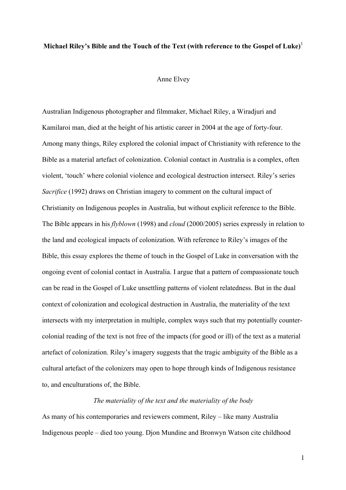# **Michael Riley's Bible and the Touch of the Text (with reference to the Gospel of Luke)**<sup>1</sup>

#### Anne Elvey

Australian Indigenous photographer and filmmaker, Michael Riley, a Wiradjuri and Kamilaroi man, died at the height of his artistic career in 2004 at the age of forty-four. Among many things, Riley explored the colonial impact of Christianity with reference to the Bible as a material artefact of colonization. Colonial contact in Australia is a complex, often violent, 'touch' where colonial violence and ecological destruction intersect. Riley's series *Sacrifice* (1992) draws on Christian imagery to comment on the cultural impact of Christianity on Indigenous peoples in Australia, but without explicit reference to the Bible. The Bible appears in his *flyblown* (1998) and *cloud* (2000/2005) series expressly in relation to the land and ecological impacts of colonization. With reference to Riley's images of the Bible, this essay explores the theme of touch in the Gospel of Luke in conversation with the ongoing event of colonial contact in Australia. I argue that a pattern of compassionate touch can be read in the Gospel of Luke unsettling patterns of violent relatedness. But in the dual context of colonization and ecological destruction in Australia, the materiality of the text intersects with my interpretation in multiple, complex ways such that my potentially countercolonial reading of the text is not free of the impacts (for good or ill) of the text as a material artefact of colonization. Riley's imagery suggests that the tragic ambiguity of the Bible as a cultural artefact of the colonizers may open to hope through kinds of Indigenous resistance to, and enculturations of, the Bible.

#### *The materiality of the text and the materiality of the body*

As many of his contemporaries and reviewers comment, Riley – like many Australia Indigenous people – died too young. Djon Mundine and Bronwyn Watson cite childhood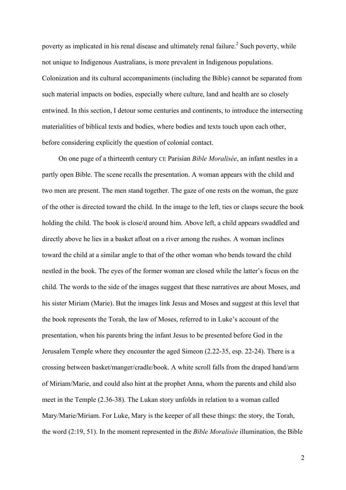poverty as implicated in his renal disease and ultimately renal failure.<sup>2</sup> Such poverty, while not unique to Indigenous Australians, is more prevalent in Indigenous populations. Colonization and its cultural accompaniments (including the Bible) cannot be separated from such material impacts on bodies, especially where culture, land and health are so closely entwined. In this section, I detour some centuries and continents, to introduce the intersecting materialities of biblical texts and bodies, where bodies and texts touch upon each other, before considering explicitly the question of colonial contact.

On one page of a thirteenth century CE Parisian *Bible Moralisée*, an infant nestles in a partly open Bible. The scene recalls the presentation. A woman appears with the child and two men are present. The men stand together. The gaze of one rests on the woman, the gaze of the other is directed toward the child. In the image to the left, ties or clasps secure the book holding the child. The book is close/d around him. Above left, a child appears swaddled and directly above he lies in a basket afloat on a river among the rushes. A woman inclines toward the child at a similar angle to that of the other woman who bends toward the child nestled in the book. The eyes of the former woman are closed while the latter's focus on the child. The words to the side of the images suggest that these narratives are about Moses, and his sister Miriam (Marie). But the images link Jesus and Moses and suggest at this level that the book represents the Torah, the law of Moses, referred to in Luke's account of the presentation, when his parents bring the infant Jesus to be presented before God in the Jerusalem Temple where they encounter the aged Simeon (2.22-35, esp. 22-24). There is a crossing between basket/manger/cradle/book. A white scroll falls from the draped hand/arm of Miriam/Marie, and could also hint at the prophet Anna, whom the parents and child also meet in the Temple (2.36-38). The Lukan story unfolds in relation to a woman called Mary/Marie/Miriam. For Luke, Mary is the keeper of all these things: the story, the Torah, the word (2:19, 51). In the moment represented in the *Bible Moralisée* illumination, the Bible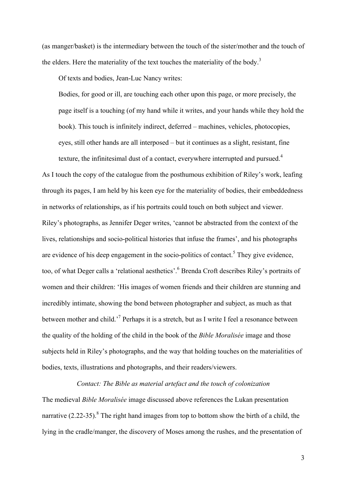(as manger/basket) is the intermediary between the touch of the sister/mother and the touch of the elders. Here the materiality of the text touches the materiality of the body.<sup>3</sup>

Of texts and bodies, Jean-Luc Nancy writes:

Bodies, for good or ill, are touching each other upon this page, or more precisely, the page itself is a touching (of my hand while it writes, and your hands while they hold the book). This touch is infinitely indirect, deferred – machines, vehicles, photocopies, eyes, still other hands are all interposed – but it continues as a slight, resistant, fine texture, the infinitesimal dust of a contact, everywhere interrupted and pursued.<sup>4</sup>

As I touch the copy of the catalogue from the posthumous exhibition of Riley's work, leafing through its pages, I am held by his keen eye for the materiality of bodies, their embeddedness in networks of relationships, as if his portraits could touch on both subject and viewer. Riley's photographs, as Jennifer Deger writes, 'cannot be abstracted from the context of the lives, relationships and socio-political histories that infuse the frames', and his photographs are evidence of his deep engagement in the socio-politics of contact.<sup>5</sup> They give evidence, too, of what Deger calls a 'relational aesthetics'.<sup>6</sup> Brenda Croft describes Riley's portraits of women and their children: 'His images of women friends and their children are stunning and incredibly intimate, showing the bond between photographer and subject, as much as that between mother and child.'7 Perhaps it is a stretch, but as I write I feel a resonance between the quality of the holding of the child in the book of the *Bible Moralisée* image and those subjects held in Riley's photographs, and the way that holding touches on the materialities of bodies, texts, illustrations and photographs, and their readers/viewers.

*Contact: The Bible as material artefact and the touch of colonization*

The medieval *Bible Moralisée* image discussed above references the Lukan presentation narrative  $(2.22-35)$ .<sup>8</sup> The right hand images from top to bottom show the birth of a child, the lying in the cradle/manger, the discovery of Moses among the rushes, and the presentation of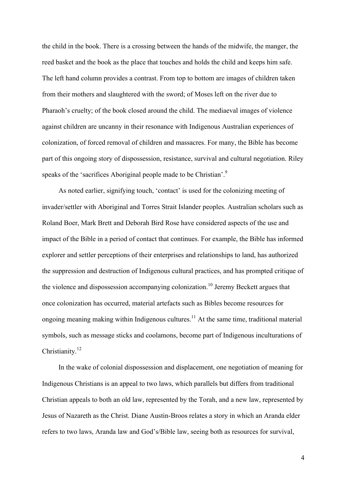the child in the book. There is a crossing between the hands of the midwife, the manger, the reed basket and the book as the place that touches and holds the child and keeps him safe. The left hand column provides a contrast. From top to bottom are images of children taken from their mothers and slaughtered with the sword; of Moses left on the river due to Pharaoh's cruelty; of the book closed around the child. The mediaeval images of violence against children are uncanny in their resonance with Indigenous Australian experiences of colonization, of forced removal of children and massacres. For many, the Bible has become part of this ongoing story of dispossession, resistance, survival and cultural negotiation. Riley speaks of the 'sacrifices Aboriginal people made to be Christian'.<sup>9</sup>

As noted earlier, signifying touch, 'contact' is used for the colonizing meeting of invader/settler with Aboriginal and Torres Strait Islander peoples. Australian scholars such as Roland Boer, Mark Brett and Deborah Bird Rose have considered aspects of the use and impact of the Bible in a period of contact that continues. For example, the Bible has informed explorer and settler perceptions of their enterprises and relationships to land, has authorized the suppression and destruction of Indigenous cultural practices, and has prompted critique of the violence and dispossession accompanying colonization.<sup>10</sup> Jeremy Beckett argues that once colonization has occurred, material artefacts such as Bibles become resources for ongoing meaning making within Indigenous cultures.<sup>11</sup> At the same time, traditional material symbols, such as message sticks and coolamons, become part of Indigenous inculturations of Christianity.<sup>12</sup>

In the wake of colonial dispossession and displacement, one negotiation of meaning for Indigenous Christians is an appeal to two laws, which parallels but differs from traditional Christian appeals to both an old law, represented by the Torah, and a new law, represented by Jesus of Nazareth as the Christ. Diane Austin-Broos relates a story in which an Aranda elder refers to two laws, Aranda law and God's/Bible law, seeing both as resources for survival,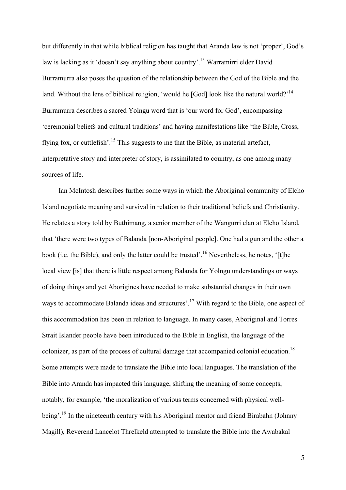but differently in that while biblical religion has taught that Aranda law is not 'proper', God's law is lacking as it 'doesn't say anything about country'.13 Warramirri elder David Burramurra also poses the question of the relationship between the God of the Bible and the land. Without the lens of biblical religion, 'would he [God] look like the natural world?<sup>14</sup> Burramurra describes a sacred Yolngu word that is 'our word for God', encompassing 'ceremonial beliefs and cultural traditions' and having manifestations like 'the Bible, Cross, flying fox, or cuttlefish'.<sup>15</sup> This suggests to me that the Bible, as material artefact, interpretative story and interpreter of story, is assimilated to country, as one among many sources of life.

Ian McIntosh describes further some ways in which the Aboriginal community of Elcho Island negotiate meaning and survival in relation to their traditional beliefs and Christianity. He relates a story told by Buthimang, a senior member of the Wangurri clan at Elcho Island, that 'there were two types of Balanda [non-Aboriginal people]. One had a gun and the other a book (i.e. the Bible), and only the latter could be trusted'.<sup>16</sup> Nevertheless, he notes, '[t]he local view [is] that there is little respect among Balanda for Yolngu understandings or ways of doing things and yet Aborigines have needed to make substantial changes in their own ways to accommodate Balanda ideas and structures'.<sup>17</sup> With regard to the Bible, one aspect of this accommodation has been in relation to language. In many cases, Aboriginal and Torres Strait Islander people have been introduced to the Bible in English, the language of the colonizer, as part of the process of cultural damage that accompanied colonial education.<sup>18</sup> Some attempts were made to translate the Bible into local languages. The translation of the Bible into Aranda has impacted this language, shifting the meaning of some concepts, notably, for example, 'the moralization of various terms concerned with physical wellbeing'.<sup>19</sup> In the nineteenth century with his Aboriginal mentor and friend Birabahn (Johnny Magill), Reverend Lancelot Threlkeld attempted to translate the Bible into the Awabakal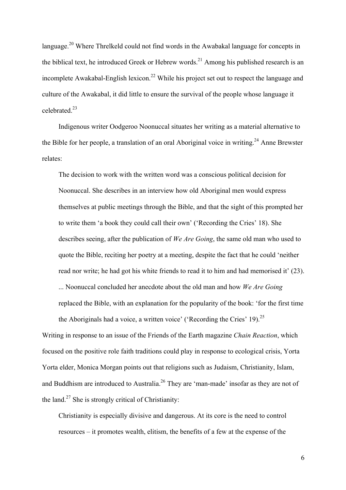language.<sup>20</sup> Where Threlkeld could not find words in the Awabakal language for concepts in the biblical text, he introduced Greek or Hebrew words.<sup>21</sup> Among his published research is an incomplete Awakabal-English lexicon.<sup>22</sup> While his project set out to respect the language and culture of the Awakabal, it did little to ensure the survival of the people whose language it celebrated<sup>23</sup>

Indigenous writer Oodgeroo Noonuccal situates her writing as a material alternative to the Bible for her people, a translation of an oral Aboriginal voice in writing.<sup>24</sup> Anne Brewster relates:

The decision to work with the written word was a conscious political decision for Noonuccal. She describes in an interview how old Aboriginal men would express themselves at public meetings through the Bible, and that the sight of this prompted her to write them 'a book they could call their own' ('Recording the Cries' 18). She describes seeing, after the publication of *We Are Going*, the same old man who used to quote the Bible, reciting her poetry at a meeting, despite the fact that he could 'neither read nor write; he had got his white friends to read it to him and had memorised it' (23). ... Noonuccal concluded her anecdote about the old man and how *We Are Going* replaced the Bible, with an explanation for the popularity of the book: 'for the first time the Aboriginals had a voice, a written voice' ('Recording the Cries' 19).<sup>25</sup>

Writing in response to an issue of the Friends of the Earth magazine *Chain Reaction*, which focused on the positive role faith traditions could play in response to ecological crisis, Yorta Yorta elder, Monica Morgan points out that religions such as Judaism, Christianity, Islam, and Buddhism are introduced to Australia.<sup>26</sup> They are 'man-made' insofar as they are not of the land.<sup>27</sup> She is strongly critical of Christianity:

Christianity is especially divisive and dangerous. At its core is the need to control resources – it promotes wealth, elitism, the benefits of a few at the expense of the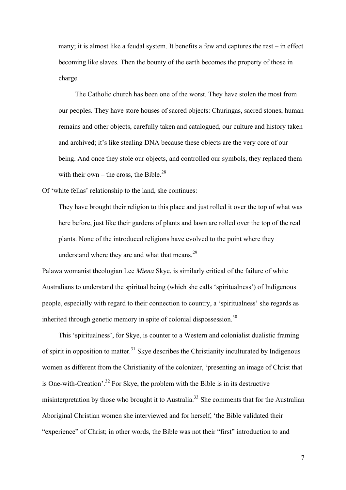many; it is almost like a feudal system. It benefits a few and captures the rest – in effect becoming like slaves. Then the bounty of the earth becomes the property of those in charge.

The Catholic church has been one of the worst. They have stolen the most from our peoples. They have store houses of sacred objects: Churingas, sacred stones, human remains and other objects, carefully taken and catalogued, our culture and history taken and archived; it's like stealing DNA because these objects are the very core of our being. And once they stole our objects, and controlled our symbols, they replaced them with their own – the cross, the Bible.<sup>28</sup>

Of 'white fellas' relationship to the land, she continues:

They have brought their religion to this place and just rolled it over the top of what was here before, just like their gardens of plants and lawn are rolled over the top of the real plants. None of the introduced religions have evolved to the point where they understand where they are and what that means.<sup>29</sup>

Palawa womanist theologian Lee *Miena* Skye, is similarly critical of the failure of white Australians to understand the spiritual being (which she calls 'spiritualness') of Indigenous people, especially with regard to their connection to country, a 'spiritualness' she regards as inherited through genetic memory in spite of colonial dispossession.<sup>30</sup>

This 'spiritualness', for Skye, is counter to a Western and colonialist dualistic framing of spirit in opposition to matter.<sup>31</sup> Skye describes the Christianity inculturated by Indigenous women as different from the Christianity of the colonizer, 'presenting an image of Christ that is One-with-Creation'.<sup>32</sup> For Skye, the problem with the Bible is in its destructive misinterpretation by those who brought it to Australia.<sup>33</sup> She comments that for the Australian Aboriginal Christian women she interviewed and for herself, 'the Bible validated their "experience" of Christ; in other words, the Bible was not their "first" introduction to and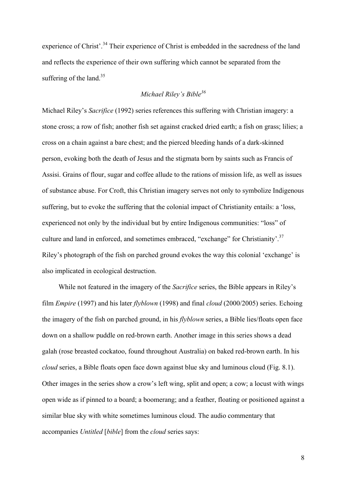experience of Christ'.<sup>34</sup> Their experience of Christ is embedded in the sacredness of the land and reflects the experience of their own suffering which cannot be separated from the suffering of the land.<sup>35</sup>

# *Michael Riley's Bible<sup>36</sup>*

Michael Riley's *Sacrifice* (1992) series references this suffering with Christian imagery: a stone cross; a row of fish; another fish set against cracked dried earth; a fish on grass; lilies; a cross on a chain against a bare chest; and the pierced bleeding hands of a dark-skinned person, evoking both the death of Jesus and the stigmata born by saints such as Francis of Assisi. Grains of flour, sugar and coffee allude to the rations of mission life, as well as issues of substance abuse. For Croft, this Christian imagery serves not only to symbolize Indigenous suffering, but to evoke the suffering that the colonial impact of Christianity entails: a 'loss, experienced not only by the individual but by entire Indigenous communities: "loss" of culture and land in enforced, and sometimes embraced, "exchange" for Christianity'.<sup>37</sup> Riley's photograph of the fish on parched ground evokes the way this colonial 'exchange' is also implicated in ecological destruction.

While not featured in the imagery of the *Sacrifice* series, the Bible appears in Riley's film *Empire* (1997) and his later *flyblown* (1998) and final *cloud* (2000/2005) series. Echoing the imagery of the fish on parched ground, in his *flyblown* series, a Bible lies/floats open face down on a shallow puddle on red-brown earth. Another image in this series shows a dead galah (rose breasted cockatoo, found throughout Australia) on baked red-brown earth. In his *cloud* series, a Bible floats open face down against blue sky and luminous cloud (Fig. 8.1). Other images in the series show a crow's left wing, split and open; a cow; a locust with wings open wide as if pinned to a board; a boomerang; and a feather, floating or positioned against a similar blue sky with white sometimes luminous cloud. The audio commentary that accompanies *Untitled* [*bible*] from the *cloud* series says: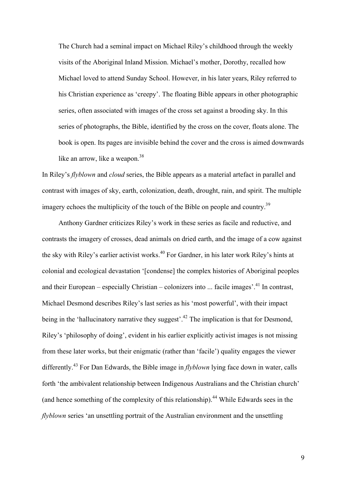The Church had a seminal impact on Michael Riley's childhood through the weekly visits of the Aboriginal Inland Mission. Michael's mother, Dorothy, recalled how Michael loved to attend Sunday School. However, in his later years, Riley referred to his Christian experience as 'creepy'. The floating Bible appears in other photographic series, often associated with images of the cross set against a brooding sky. In this series of photographs, the Bible, identified by the cross on the cover, floats alone. The book is open. Its pages are invisible behind the cover and the cross is aimed downwards like an arrow, like a weapon.<sup>38</sup>

In Riley's *flyblown* and *cloud* series, the Bible appears as a material artefact in parallel and contrast with images of sky, earth, colonization, death, drought, rain, and spirit. The multiple imagery echoes the multiplicity of the touch of the Bible on people and country.<sup>39</sup>

Anthony Gardner criticizes Riley's work in these series as facile and reductive, and contrasts the imagery of crosses, dead animals on dried earth, and the image of a cow against the sky with Riley's earlier activist works.<sup>40</sup> For Gardner, in his later work Riley's hints at colonial and ecological devastation '[condense] the complex histories of Aboriginal peoples and their European – especially Christian – colonizers into  $\ldots$  facile images<sup> $2,41$ </sup> In contrast, Michael Desmond describes Riley's last series as his 'most powerful', with their impact being in the 'hallucinatory narrative they suggest'.<sup>42</sup> The implication is that for Desmond, Riley's 'philosophy of doing', evident in his earlier explicitly activist images is not missing from these later works, but their enigmatic (rather than 'facile') quality engages the viewer differently.<sup>43</sup> For Dan Edwards, the Bible image in *flyblown* lying face down in water, calls forth 'the ambivalent relationship between Indigenous Australians and the Christian church' (and hence something of the complexity of this relationship).<sup>44</sup> While Edwards sees in the *flyblown* series 'an unsettling portrait of the Australian environment and the unsettling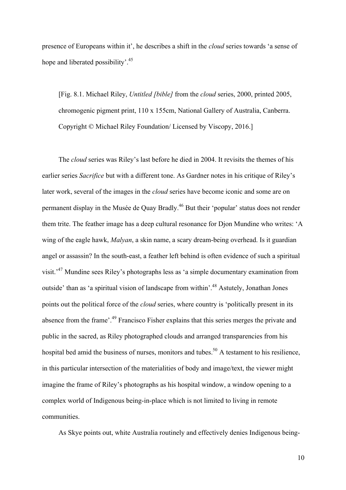presence of Europeans within it', he describes a shift in the *cloud* series towards 'a sense of hope and liberated possibility'.<sup>45</sup>

[Fig. 8.1. Michael Riley, *Untitled [bible]* from the *cloud* series, 2000, printed 2005, chromogenic pigment print, 110 x 155cm, National Gallery of Australia, Canberra. Copyright © Michael Riley Foundation/ Licensed by Viscopy, 2016.]

The *cloud* series was Riley's last before he died in 2004. It revisits the themes of his earlier series *Sacrifice* but with a different tone. As Gardner notes in his critique of Riley's later work, several of the images in the *cloud* series have become iconic and some are on permanent display in the Musée de Quay Bradly.46 But their 'popular' status does not render them trite. The feather image has a deep cultural resonance for Djon Mundine who writes: 'A wing of the eagle hawk, *Malyan*, a skin name, a scary dream-being overhead. Is it guardian angel or assassin? In the south-east, a feather left behind is often evidence of such a spiritual visit.'47 Mundine sees Riley's photographs less as 'a simple documentary examination from outside' than as 'a spiritual vision of landscape from within'.<sup>48</sup> Astutely, Jonathan Jones points out the political force of the *cloud* series, where country is 'politically present in its absence from the frame'.<sup>49</sup> Francisco Fisher explains that this series merges the private and public in the sacred, as Riley photographed clouds and arranged transparencies from his hospital bed amid the business of nurses, monitors and tubes.<sup>50</sup> A testament to his resilience, in this particular intersection of the materialities of body and image/text, the viewer might imagine the frame of Riley's photographs as his hospital window, a window opening to a complex world of Indigenous being-in-place which is not limited to living in remote communities.

As Skye points out, white Australia routinely and effectively denies Indigenous being-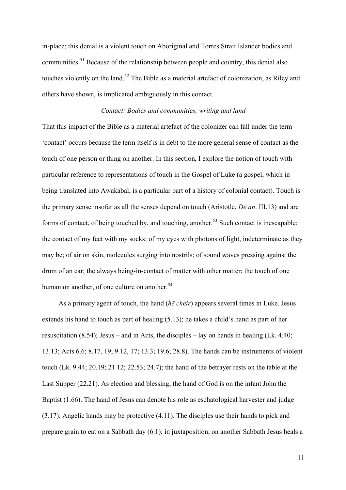in-place; this denial is a violent touch on Aboriginal and Torres Strait Islander bodies and communities.<sup>51</sup> Because of the relationship between people and country, this denial also touches violently on the land.<sup>52</sup> The Bible as a material artefact of colonization, as Riley and others have shown, is implicated ambiguously in this contact.

#### *Contact: Bodies and communities, writing and land*

That this impact of the Bible as a material artefact of the colonizer can fall under the term 'contact' occurs because the term itself is in debt to the more general sense of contact as the touch of one person or thing on another. In this section, I explore the notion of touch with particular reference to representations of touch in the Gospel of Luke (a gospel, which in being translated into Awakabal, is a particular part of a history of colonial contact). Touch is the primary sense insofar as all the senses depend on touch (Aristotle, *De an*. III.13) and are forms of contact, of being touched by, and touching, another.<sup>53</sup> Such contact is inescapable: the contact of my feet with my socks; of my eyes with photons of light, indeterminate as they may be; of air on skin, molecules surging into nostrils; of sound waves pressing against the drum of an ear; the always being-in-contact of matter with other matter; the touch of one human on another, of one culture on another.<sup>54</sup>

As a primary agent of touch, the hand (*hē cheir*) appears several times in Luke. Jesus extends his hand to touch as part of healing (5.13); he takes a child's hand as part of her resuscitation (8.54); Jesus – and in Acts, the disciples – lay on hands in healing (Lk. 4.40; 13.13; Acts 6.6; 8.17, 19; 9.12, 17; 13.3; 19.6; 28.8). The hands can be instruments of violent touch (Lk. 9.44; 20.19; 21.12; 22.53; 24.7); the hand of the betrayer rests on the table at the Last Supper (22.21). As election and blessing, the hand of God is on the infant John the Baptist (1.66). The hand of Jesus can denote his role as eschatological harvester and judge (3.17). Angelic hands may be protective (4.11). The disciples use their hands to pick and prepare grain to eat on a Sabbath day (6.1); in juxtaposition, on another Sabbath Jesus heals a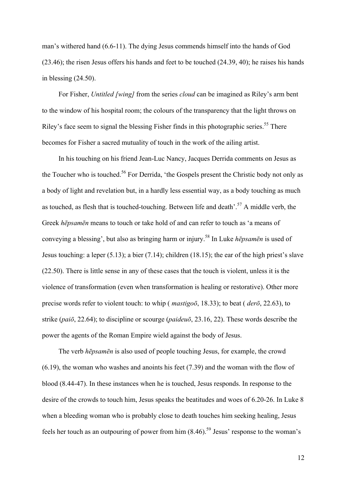man's withered hand (6.6-11). The dying Jesus commends himself into the hands of God (23.46); the risen Jesus offers his hands and feet to be touched (24.39, 40); he raises his hands in blessing (24.50).

For Fisher, *Untitled [wing]* from the series *cloud* can be imagined as Riley's arm bent to the window of his hospital room; the colours of the transparency that the light throws on Riley's face seem to signal the blessing Fisher finds in this photographic series.<sup>55</sup> There becomes for Fisher a sacred mutuality of touch in the work of the ailing artist.

In his touching on his friend Jean-Luc Nancy, Jacques Derrida comments on Jesus as the Toucher who is touched.<sup>56</sup> For Derrida, 'the Gospels present the Christic body not only as a body of light and revelation but, in a hardly less essential way, as a body touching as much as touched, as flesh that is touched-touching. Between life and death'.<sup>57</sup> A middle verb, the Greek *hēpsamēn* means to touch or take hold of and can refer to touch as 'a means of conveying a blessing', but also as bringing harm or injury.<sup>58</sup> In Luke *hēpsamēn* is used of Jesus touching: a leper (5.13); a bier (7.14); children (18.15); the ear of the high priest's slave (22.50). There is little sense in any of these cases that the touch is violent, unless it is the violence of transformation (even when transformation is healing or restorative). Other more precise words refer to violent touch: to whip ( *mastigoō*, 18.33); to beat ( *derō*, 22.63), to strike (*paiō*, 22.64); to discipline or scourge (*paideuō*, 23.16, 22). These words describe the power the agents of the Roman Empire wield against the body of Jesus.

The verb *hēpsamēn* is also used of people touching Jesus, for example, the crowd (6.19), the woman who washes and anoints his feet (7.39) and the woman with the flow of blood (8.44-47). In these instances when he is touched, Jesus responds. In response to the desire of the crowds to touch him, Jesus speaks the beatitudes and woes of 6.20-26. In Luke 8 when a bleeding woman who is probably close to death touches him seeking healing, Jesus feels her touch as an outpouring of power from him  $(8.46)$ <sup>59</sup> Jesus' response to the woman's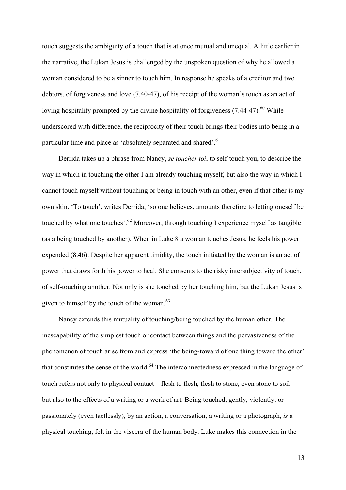touch suggests the ambiguity of a touch that is at once mutual and unequal. A little earlier in the narrative, the Lukan Jesus is challenged by the unspoken question of why he allowed a woman considered to be a sinner to touch him. In response he speaks of a creditor and two debtors, of forgiveness and love (7.40-47), of his receipt of the woman's touch as an act of loving hospitality prompted by the divine hospitality of forgiveness (7.44-47).<sup>60</sup> While underscored with difference, the reciprocity of their touch brings their bodies into being in a particular time and place as 'absolutely separated and shared'.<sup>61</sup>

Derrida takes up a phrase from Nancy, *se toucher toi*, to self-touch you, to describe the way in which in touching the other I am already touching myself, but also the way in which I cannot touch myself without touching or being in touch with an other, even if that other is my own skin. 'To touch', writes Derrida, 'so one believes, amounts therefore to letting oneself be touched by what one touches'.<sup>62</sup> Moreover, through touching I experience myself as tangible (as a being touched by another). When in Luke 8 a woman touches Jesus, he feels his power expended (8.46). Despite her apparent timidity, the touch initiated by the woman is an act of power that draws forth his power to heal. She consents to the risky intersubjectivity of touch, of self-touching another. Not only is she touched by her touching him, but the Lukan Jesus is given to himself by the touch of the woman.<sup>63</sup>

Nancy extends this mutuality of touching/being touched by the human other. The inescapability of the simplest touch or contact between things and the pervasiveness of the phenomenon of touch arise from and express 'the being-toward of one thing toward the other' that constitutes the sense of the world.<sup>64</sup> The interconnectedness expressed in the language of touch refers not only to physical contact – flesh to flesh, flesh to stone, even stone to soil – but also to the effects of a writing or a work of art. Being touched, gently, violently, or passionately (even tactlessly), by an action, a conversation, a writing or a photograph, *is* a physical touching, felt in the viscera of the human body. Luke makes this connection in the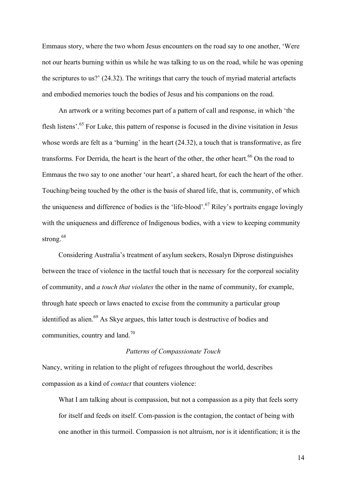Emmaus story, where the two whom Jesus encounters on the road say to one another, 'Were not our hearts burning within us while he was talking to us on the road, while he was opening the scriptures to us?' (24.32). The writings that carry the touch of myriad material artefacts and embodied memories touch the bodies of Jesus and his companions on the road.

An artwork or a writing becomes part of a pattern of call and response, in which 'the flesh listens'.<sup>65</sup> For Luke, this pattern of response is focused in the divine visitation in Jesus whose words are felt as a 'burning' in the heart (24.32), a touch that is transformative, as fire transforms. For Derrida, the heart is the heart of the other, the other heart.<sup>66</sup> On the road to Emmaus the two say to one another 'our heart', a shared heart, for each the heart of the other. Touching/being touched by the other is the basis of shared life, that is, community, of which the uniqueness and difference of bodies is the 'life-blood'.<sup>67</sup> Riley's portraits engage lovingly with the uniqueness and difference of Indigenous bodies, with a view to keeping community strong.<sup>68</sup>

Considering Australia's treatment of asylum seekers, Rosalyn Diprose distinguishes between the trace of violence in the tactful touch that is necessary for the corporeal sociality of community, and *a touch that violates* the other in the name of community, for example, through hate speech or laws enacted to excise from the community a particular group identified as alien.<sup>69</sup> As Skye argues, this latter touch is destructive of bodies and communities, country and land.<sup>70</sup>

## *Patterns of Compassionate Touch*

Nancy, writing in relation to the plight of refugees throughout the world, describes compassion as a kind of *contact* that counters violence:

What I am talking about is compassion, but not a compassion as a pity that feels sorry for itself and feeds on itself. Com-passion is the contagion, the contact of being with one another in this turmoil. Compassion is not altruism, nor is it identification; it is the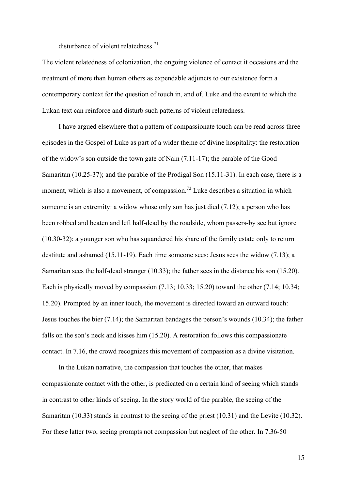disturbance of violent relatedness.<sup>71</sup>

The violent relatedness of colonization, the ongoing violence of contact it occasions and the treatment of more than human others as expendable adjuncts to our existence form a contemporary context for the question of touch in, and of, Luke and the extent to which the Lukan text can reinforce and disturb such patterns of violent relatedness.

I have argued elsewhere that a pattern of compassionate touch can be read across three episodes in the Gospel of Luke as part of a wider theme of divine hospitality: the restoration of the widow's son outside the town gate of Nain (7.11-17); the parable of the Good Samaritan (10.25-37); and the parable of the Prodigal Son (15.11-31). In each case, there is a moment, which is also a movement, of compassion.<sup>72</sup> Luke describes a situation in which someone is an extremity: a widow whose only son has just died (7.12); a person who has been robbed and beaten and left half-dead by the roadside, whom passers-by see but ignore (10.30-32); a younger son who has squandered his share of the family estate only to return destitute and ashamed (15.11-19). Each time someone sees: Jesus sees the widow (7.13); a Samaritan sees the half-dead stranger (10.33); the father sees in the distance his son (15.20). Each is physically moved by compassion (7.13; 10.33; 15.20) toward the other (7.14; 10.34; 15.20). Prompted by an inner touch, the movement is directed toward an outward touch: Jesus touches the bier (7.14); the Samaritan bandages the person's wounds (10.34); the father falls on the son's neck and kisses him (15.20). A restoration follows this compassionate contact. In 7.16, the crowd recognizes this movement of compassion as a divine visitation.

In the Lukan narrative, the compassion that touches the other, that makes compassionate contact with the other, is predicated on a certain kind of seeing which stands in contrast to other kinds of seeing. In the story world of the parable, the seeing of the Samaritan (10.33) stands in contrast to the seeing of the priest (10.31) and the Levite (10.32). For these latter two, seeing prompts not compassion but neglect of the other. In 7.36-50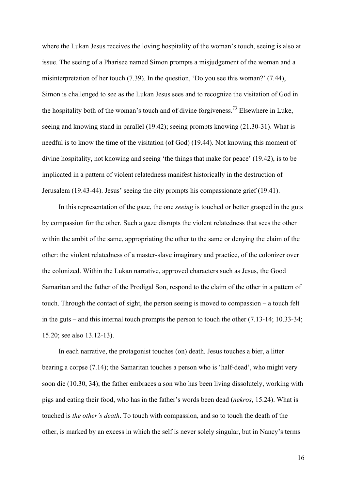where the Lukan Jesus receives the loving hospitality of the woman's touch, seeing is also at issue. The seeing of a Pharisee named Simon prompts a misjudgement of the woman and a misinterpretation of her touch (7.39). In the question, 'Do you see this woman?' (7.44), Simon is challenged to see as the Lukan Jesus sees and to recognize the visitation of God in the hospitality both of the woman's touch and of divine forgiveness.<sup>73</sup> Elsewhere in Luke, seeing and knowing stand in parallel (19.42); seeing prompts knowing (21.30-31). What is needful is to know the time of the visitation (of God) (19.44). Not knowing this moment of divine hospitality, not knowing and seeing 'the things that make for peace' (19.42), is to be implicated in a pattern of violent relatedness manifest historically in the destruction of Jerusalem (19.43-44). Jesus' seeing the city prompts his compassionate grief (19.41).

In this representation of the gaze, the one *seeing* is touched or better grasped in the guts by compassion for the other. Such a gaze disrupts the violent relatedness that sees the other within the ambit of the same, appropriating the other to the same or denying the claim of the other: the violent relatedness of a master-slave imaginary and practice, of the colonizer over the colonized. Within the Lukan narrative, approved characters such as Jesus, the Good Samaritan and the father of the Prodigal Son, respond to the claim of the other in a pattern of touch. Through the contact of sight, the person seeing is moved to compassion – a touch felt in the guts – and this internal touch prompts the person to touch the other (7.13-14; 10.33-34; 15.20; see also 13.12-13).

In each narrative, the protagonist touches (on) death. Jesus touches a bier, a litter bearing a corpse (7.14); the Samaritan touches a person who is 'half-dead', who might very soon die (10.30, 34); the father embraces a son who has been living dissolutely, working with pigs and eating their food, who has in the father's words been dead (*nekros*, 15.24). What is touched is *the other's death*. To touch with compassion, and so to touch the death of the other, is marked by an excess in which the self is never solely singular, but in Nancy's terms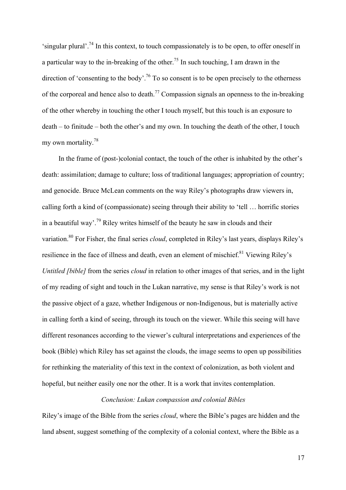'singular plural'.74 In this context, to touch compassionately is to be open, to offer oneself in a particular way to the in-breaking of the other.<sup>75</sup> In such touching, I am drawn in the direction of 'consenting to the body'.<sup>76</sup> To so consent is to be open precisely to the otherness of the corporeal and hence also to death.<sup>77</sup> Compassion signals an openness to the in-breaking of the other whereby in touching the other I touch myself, but this touch is an exposure to death – to finitude – both the other's and my own. In touching the death of the other, I touch my own mortality.<sup>78</sup>

In the frame of (post-)colonial contact, the touch of the other is inhabited by the other's death: assimilation; damage to culture; loss of traditional languages; appropriation of country; and genocide. Bruce McLean comments on the way Riley's photographs draw viewers in, calling forth a kind of (compassionate) seeing through their ability to 'tell … horrific stories in a beautiful way'.<sup>79</sup> Riley writes himself of the beauty he saw in clouds and their variation.80 For Fisher, the final series *cloud*, completed in Riley's last years, displays Riley's resilience in the face of illness and death, even an element of mischief.<sup>81</sup> Viewing Riley's *Untitled [bible]* from the series *cloud* in relation to other images of that series, and in the light of my reading of sight and touch in the Lukan narrative, my sense is that Riley's work is not the passive object of a gaze, whether Indigenous or non-Indigenous, but is materially active in calling forth a kind of seeing, through its touch on the viewer. While this seeing will have different resonances according to the viewer's cultural interpretations and experiences of the book (Bible) which Riley has set against the clouds, the image seems to open up possibilities for rethinking the materiality of this text in the context of colonization, as both violent and hopeful, but neither easily one nor the other. It is a work that invites contemplation.

# *Conclusion: Lukan compassion and colonial Bibles*

Riley's image of the Bible from the series *cloud*, where the Bible's pages are hidden and the land absent, suggest something of the complexity of a colonial context, where the Bible as a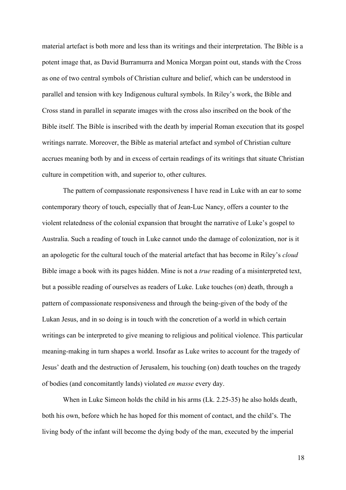material artefact is both more and less than its writings and their interpretation. The Bible is a potent image that, as David Burramurra and Monica Morgan point out, stands with the Cross as one of two central symbols of Christian culture and belief, which can be understood in parallel and tension with key Indigenous cultural symbols. In Riley's work, the Bible and Cross stand in parallel in separate images with the cross also inscribed on the book of the Bible itself. The Bible is inscribed with the death by imperial Roman execution that its gospel writings narrate. Moreover, the Bible as material artefact and symbol of Christian culture accrues meaning both by and in excess of certain readings of its writings that situate Christian culture in competition with, and superior to, other cultures.

The pattern of compassionate responsiveness I have read in Luke with an ear to some contemporary theory of touch, especially that of Jean-Luc Nancy, offers a counter to the violent relatedness of the colonial expansion that brought the narrative of Luke's gospel to Australia. Such a reading of touch in Luke cannot undo the damage of colonization, nor is it an apologetic for the cultural touch of the material artefact that has become in Riley's *cloud* Bible image a book with its pages hidden. Mine is not a *true* reading of a misinterpreted text, but a possible reading of ourselves as readers of Luke. Luke touches (on) death, through a pattern of compassionate responsiveness and through the being-given of the body of the Lukan Jesus, and in so doing is in touch with the concretion of a world in which certain writings can be interpreted to give meaning to religious and political violence. This particular meaning-making in turn shapes a world. Insofar as Luke writes to account for the tragedy of Jesus' death and the destruction of Jerusalem, his touching (on) death touches on the tragedy of bodies (and concomitantly lands) violated *en masse* every day.

When in Luke Simeon holds the child in his arms (Lk. 2.25-35) he also holds death, both his own, before which he has hoped for this moment of contact, and the child's. The living body of the infant will become the dying body of the man, executed by the imperial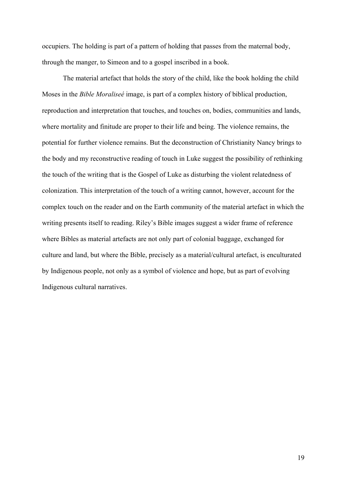occupiers. The holding is part of a pattern of holding that passes from the maternal body, through the manger, to Simeon and to a gospel inscribed in a book.

The material artefact that holds the story of the child, like the book holding the child Moses in the *Bible Moraliseé* image, is part of a complex history of biblical production, reproduction and interpretation that touches, and touches on, bodies, communities and lands, where mortality and finitude are proper to their life and being. The violence remains, the potential for further violence remains. But the deconstruction of Christianity Nancy brings to the body and my reconstructive reading of touch in Luke suggest the possibility of rethinking the touch of the writing that is the Gospel of Luke as disturbing the violent relatedness of colonization. This interpretation of the touch of a writing cannot, however, account for the complex touch on the reader and on the Earth community of the material artefact in which the writing presents itself to reading. Riley's Bible images suggest a wider frame of reference where Bibles as material artefacts are not only part of colonial baggage, exchanged for culture and land, but where the Bible, precisely as a material/cultural artefact, is enculturated by Indigenous people, not only as a symbol of violence and hope, but as part of evolving Indigenous cultural narratives.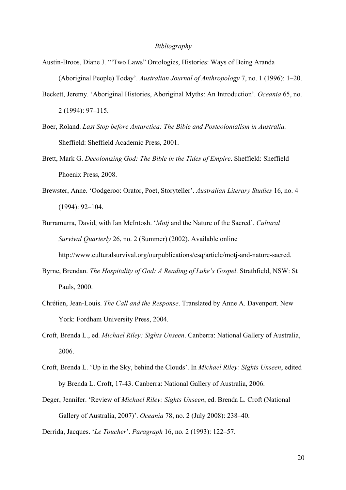## *Bibliography*

- Austin-Broos, Diane J. '"Two Laws" Ontologies, Histories: Ways of Being Aranda (Aboriginal People) Today'. *Australian Journal of Anthropology* 7, no. 1 (1996): 1–20.
- Beckett, Jeremy. 'Aboriginal Histories, Aboriginal Myths: An Introduction'. *Oceania* 65, no. 2 (1994): 97–115.
- Boer, Roland. *Last Stop before Antarctica: The Bible and Postcolonialism in Australia.* Sheffield: Sheffield Academic Press, 2001.
- Brett, Mark G. *Decolonizing God: The Bible in the Tides of Empire*. Sheffield: Sheffield Phoenix Press, 2008.
- Brewster, Anne. 'Oodgeroo: Orator, Poet, Storyteller'. *Australian Literary Studies* 16, no. 4 (1994): 92–104.
- Burramurra, David, with Ian McIntosh. '*Motj* and the Nature of the Sacred'. *Cultural Survival Quarterly* 26, no. 2 (Summer) (2002). Available online http://www.culturalsurvival.org/ourpublications/csq/article/motj-and-nature-sacred.
- Byrne, Brendan. *The Hospitality of God: A Reading of Luke's Gospel*. Strathfield, NSW: St Pauls, 2000.
- Chrétien, Jean-Louis. *The Call and the Response*. Translated by Anne A. Davenport. New York: Fordham University Press, 2004.
- Croft, Brenda L., ed. *Michael Riley: Sights Unseen*. Canberra: National Gallery of Australia, 2006.
- Croft, Brenda L. 'Up in the Sky, behind the Clouds'. In *Michael Riley: Sights Unseen*, edited by Brenda L. Croft, 17-43. Canberra: National Gallery of Australia, 2006.
- Deger, Jennifer. 'Review of *Michael Riley: Sights Unseen*, ed. Brenda L. Croft (National Gallery of Australia, 2007)'. *Oceania* 78, no. 2 (July 2008): 238–40.

Derrida, Jacques. '*Le Toucher*'. *Paragraph* 16, no. 2 (1993): 122–57.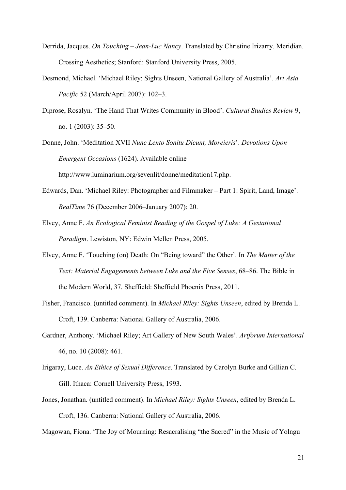- Derrida, Jacques. *On Touching – Jean-Luc Nancy*. Translated by Christine Irizarry. Meridian. Crossing Aesthetics; Stanford: Stanford University Press, 2005.
- Desmond, Michael. 'Michael Riley: Sights Unseen, National Gallery of Australia'. *Art Asia Pacific* 52 (March/April 2007): 102–3.
- Diprose, Rosalyn. 'The Hand That Writes Community in Blood'. *Cultural Studies Review* 9, no. 1 (2003): 35–50.
- Donne, John. 'Meditation XVII *Nunc Lento Sonitu Dicunt, Moreieris*'. *Devotions Upon Emergent Occasions* (1624). Available online

http://www.luminarium.org/sevenlit/donne/meditation17.php.

- Edwards, Dan. 'Michael Riley: Photographer and Filmmaker Part 1: Spirit, Land, Image'. *RealTime* 76 (December 2006–January 2007): 20.
- Elvey, Anne F. *An Ecological Feminist Reading of the Gospel of Luke: A Gestational Paradigm*. Lewiston, NY: Edwin Mellen Press, 2005.
- Elvey, Anne F. 'Touching (on) Death: On "Being toward" the Other'. In *The Matter of the Text: Material Engagements between Luke and the Five Senses*, 68–86. The Bible in the Modern World, 37. Sheffield: Sheffield Phoenix Press, 2011.
- Fisher, Francisco. (untitled comment). In *Michael Riley: Sights Unseen*, edited by Brenda L. Croft, 139. Canberra: National Gallery of Australia, 2006.
- Gardner, Anthony. 'Michael Riley; Art Gallery of New South Wales'. *Artforum International*  46, no. 10 (2008): 461.
- Irigaray, Luce. *An Ethics of Sexual Difference*. Translated by Carolyn Burke and Gillian C. Gill. Ithaca: Cornell University Press, 1993.
- Jones, Jonathan. (untitled comment). In *Michael Riley: Sights Unseen*, edited by Brenda L. Croft, 136. Canberra: National Gallery of Australia, 2006.

Magowan, Fiona. 'The Joy of Mourning: Resacralising "the Sacred" in the Music of Yolngu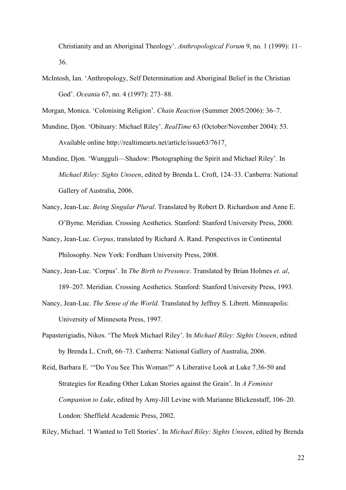Christianity and an Aboriginal Theology'. *Anthropological Forum* 9, no. 1 (1999): 11– 36.

McIntosh, Ian. 'Anthropology, Self Determination and Aboriginal Belief in the Christian God'. *Oceania* 67, no. 4 (1997): 273–88.

Morgan, Monica. 'Colonising Religion'. *Chain Reaction* (Summer 2005/2006): 36–7.

- Mundine, Djon. 'Obituary: Michael Riley'. *RealTime* 63 (October/November 2004): 53. Available online http://realtimearts.net/article/issue63/7617.
- Mundine, Djon. 'Wungguli—Shadow: Photographing the Spirit and Michael Riley'. In *Michael Riley: Sights Unseen*, edited by Brenda L. Croft, 124–33. Canberra: National Gallery of Australia, 2006.
- Nancy, Jean-Luc. *Being Singular Plural*. Translated by Robert D. Richardson and Anne E. O'Byrne. Meridian. Crossing Aesthetics. Stanford: Stanford University Press, 2000.
- Nancy, Jean-Luc. *Corpus*, translated by Richard A. Rand. Perspectives in Continental Philosophy. New York: Fordham University Press, 2008.
- Nancy, Jean-Luc. 'Corpus'. In *The Birth to Presence*. Translated by Brian Holmes *et. al*, 189–207. Meridian. Crossing Aesthetics. Stanford: Stanford University Press, 1993.
- Nancy, Jean-Luc. *The Sense of the World*. Translated by Jeffrey S. Librett. Minneapolis: University of Minnesota Press, 1997.
- Papasterigiadis, Nikos. 'The Meek Michael Riley'. In *Michael Riley: Sights Unseen*, edited by Brenda L. Croft, 66–73. Canberra: National Gallery of Australia, 2006.
- Reid, Barbara E. '"Do You See This Woman?" A Liberative Look at Luke 7.36-50 and Strategies for Reading Other Lukan Stories against the Grain'. In *A Feminist Companion to Luke*, edited by Amy-Jill Levine with Marianne Blickenstaff, 106–20. London: Sheffield Academic Press, 2002.

Riley, Michael. 'I Wanted to Tell Stories'. In *Michael Riley: Sights Unseen*, edited by Brenda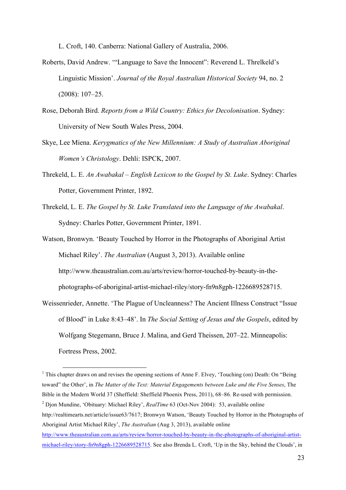L. Croft, 140. Canberra: National Gallery of Australia, 2006.

- Roberts, David Andrew. '"Language to Save the Innocent": Reverend L. Threlkeld's Linguistic Mission'. *Journal of the Royal Australian Historical Society* 94, no. 2 (2008): 107–25.
- Rose, Deborah Bird. *Reports from a Wild Country: Ethics for Decolonisation*. Sydney: University of New South Wales Press, 2004.
- Skye, Lee Miena. *Kerygmatics of the New Millennium: A Study of Australian Aboriginal Women's Christology*. Dehli: ISPCK, 2007.
- Threkeld, L. E. *An Awabakal – English Lexicon to the Gospel by St. Luke*. Sydney: Charles Potter, Government Printer, 1892.
- Threkeld, L. E. *The Gospel by St. Luke Translated into the Language of the Awabakal*. Sydney: Charles Potter, Government Printer, 1891.
- Watson, Bronwyn. 'Beauty Touched by Horror in the Photographs of Aboriginal Artist Michael Riley'. *The Australian* (August 3, 2013). Available online http://www.theaustralian.com.au/arts/review/horror-touched-by-beauty-in-thephotographs-of-aboriginal-artist-michael-riley/story-fn9n8gph-1226689528715.
- Weissenrieder, Annette. 'The Plague of Uncleanness? The Ancient Illness Construct "Issue of Blood" in Luke 8:43–48'. In *The Social Setting of Jesus and the Gospels*, edited by Wolfgang Stegemann, Bruce J. Malina, and Gerd Theissen, 207–22. Minneapolis: Fortress Press, 2002.

<sup>1</sup> This chapter draws on and revises the opening sections of Anne F. Elvey, 'Touching (on) Death: On "Being toward" the Other', in *The Matter of the Text: Material Engagements between Luke and the Five Senses*, The Bible in the Modern World 37 (Sheffield: Sheffield Phoenix Press, 2011), 68–86. Re-used with permission.

<u> 1989 - Johann Barn, mars ann an t-Amhain an t-Amhain an t-Amhain an t-Amhain an t-Amhain an t-Amhain an t-Amh</u>

<sup>2</sup> Djon Mundine, 'Obituary: Michael Riley', *RealTime* 63 (Oct-Nov 2004): 53, available online http://realtimearts.net/article/issue63/7617; Bronwyn Watson, 'Beauty Touched by Horror in the Photographs of Aboriginal Artist Michael Riley', *The Australian* (Aug 3, 2013), available online

http://www.theaustralian.com.au/arts/review/horror-touched-by-beauty-in-the-photographs-of-aboriginal-artistmichael-riley/story-fn9n8gph-1226689528715. See also Brenda L. Croft, 'Up in the Sky, behind the Clouds', in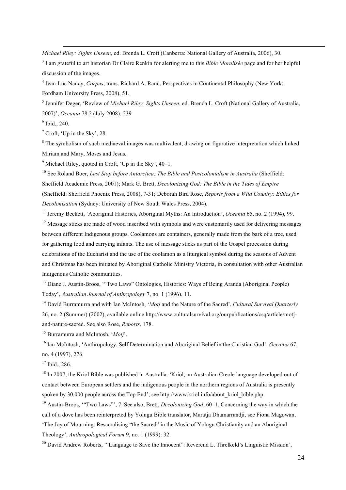*Michael Riley: Sights Unseen*, ed. Brenda L. Croft (Canberra: National Gallery of Australia, 2006), 30.

<sup>3</sup> I am grateful to art historian Dr Claire Renkin for alerting me to this *Bible Moralisée* page and for her helpful discussion of the images.

<u> 1989 - Andrea Santa Andrea Andrea Andrea Andrea Andrea Andrea Andrea Andrea Andrea Andrea Andrea Andrea Andr</u>

<sup>4</sup> Jean-Luc Nancy, *Corpus*, trans. Richard A. Rand, Perspectives in Continental Philosophy (New York: Fordham University Press, 2008), 51.

<sup>5</sup> Jennifer Deger, 'Review of *Michael Riley: Sights Unseen*, ed. Brenda L. Croft (National Gallery of Australia, 2007)', *Oceania* 78.2 (July 2008): 239

 $6$  Ibid., 240.

 $<sup>7</sup>$  Croft, 'Up in the Sky', 28.</sup>

<sup>8</sup> The symbolism of such mediaeval images was multivalent, drawing on figurative interpretation which linked Miriam and Mary, Moses and Jesus.

 $9$  Michael Riley, quoted in Croft, 'Up in the Sky',  $40-1$ .

<sup>10</sup> See Roland Boer, *Last Stop before Antarctica: The Bible and Postcolonialism in Australia* (Sheffield: Sheffield Academic Press, 2001); Mark G. Brett, *Decolonizing God: The Bible in the Tides of Empire* (Sheffield: Sheffield Phoenix Press, 2008), 7-31; Deborah Bird Rose, *Reports from a Wild Country: Ethics for Decolonisation* (Sydney: University of New South Wales Press, 2004).

<sup>11</sup> Jeremy Beckett, 'Aboriginal Histories, Aboriginal Myths: An Introduction', *Oceania* 65, no. 2 (1994), 99.

 $12$  Message sticks are made of wood inscribed with symbols and were customarily used for delivering messages between different Indigenous groups. Coolamons are containers, generally made from the bark of a tree, used for gathering food and carrying infants. The use of message sticks as part of the Gospel procession during celebrations of the Eucharist and the use of the coolamon as a liturgical symbol during the seasons of Advent and Christmas has been initiated by Aboriginal Catholic Ministry Victoria, in consultation with other Australian Indigenous Catholic communities.

<sup>13</sup> Diane J. Austin-Broos, "Two Laws" Ontologies, Histories: Ways of Being Aranda (Aboriginal People) Today', *Australian Journal of Anthropology* 7, no. 1 (1996), 11.

<sup>14</sup> David Burramurra and with Ian McIntosh, '*Motj* and the Nature of the Sacred', *Cultural Survival Quarterly* 26, no. 2 (Summer) (2002), available online http://www.culturalsurvival.org/ourpublications/csq/article/motjand-nature-sacred. See also Rose, *Reports*, 178.

<sup>15</sup> Burramurra and McIntosh, '*Motj*'.

<sup>16</sup> Ian McIntosh, 'Anthropology, Self Determination and Aboriginal Belief in the Christian God', *Oceania* 67, no. 4 (1997), 276.

 $17$  Ibid., 286.

<sup>18</sup> In 2007, the Kriol Bible was published in Australia. 'Kriol, an Australian Creole language developed out of contact between European settlers and the indigenous people in the northern regions of Australia is presently spoken by 30,000 people across the Top End'; see http://www.kriol.info/about kriol bible.php.

<sup>19</sup> Austin-Broos, '"Two Laws"', 7. See also, Brett, *Decolonizing God*, 60–1. Concerning the way in which the call of a dove has been reinterpreted by Yolngu Bible translator, Maratja Dhamarrandji, see Fiona Magowan, 'The Joy of Mourning: Resacralising "the Sacred" in the Music of Yolngu Christianity and an Aboriginal Theology', *Anthropological Forum* 9, no. 1 (1999): 32.

<sup>20</sup> David Andrew Roberts, "Language to Save the Innocent": Reverend L. Threlkeld's Linguistic Mission',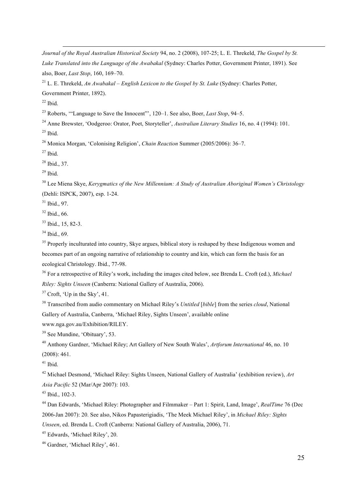*Journal of the Royal Australian Historical Society* 94, no. 2 (2008), 107-25; L. E. Threkeld, *The Gospel by St. Luke Translated into the Language of the Awabakal* (Sydney: Charles Potter, Government Printer, 1891). See also, Boer, *Last Stop*, 160, 169–70.

<u> 1989 - Andrea Santa Andrea Andrea Andrea Andrea Andrea Andrea Andrea Andrea Andrea Andrea Andrea Andrea Andr</u>

 L. E. Threkeld, *An Awabakal – English Lexicon to the Gospel by St. Luke* (Sydney: Charles Potter, Government Printer, 1892).

Ibid.

Roberts, '"Language to Save the Innocent"', 120–1. See also, Boer, *Last Stop*, 94–5.

 Anne Brewster, 'Oodgeroo: Orator, Poet, Storyteller', *Australian Literary Studies* 16, no. 4 (1994): 101. Ibid.

Monica Morgan, 'Colonising Religion', *Chain Reaction* Summer (2005/2006): 36–7.

Ibid.

Ibid., 37.

Ibid.

 Lee Miena Skye, *Kerygmatics of the New Millennium: A Study of Australian Aboriginal Women's Christology* (Dehli: ISPCK, 2007), esp. 1-24.

Ibid., 97.

Ibid., 66.

Ibid., 15, 82-3.

Ibid., 69.

<sup>35</sup> Properly inculturated into country. Skye argues, biblical story is reshaped by these Indigenous women and becomes part of an ongoing narrative of relationship to country and kin, which can form the basis for an ecological Christology. Ibid., 77-98.

 For a retrospective of Riley's work, including the images cited below, see Brenda L. Croft (ed.), *Michael Riley: Sights Unseen* (Canberra: National Gallery of Australia, 2006).

Croft, 'Up in the Sky', 41.

 Transcribed from audio commentary on Michael Riley's *Untitled* [*bible*] from the series *cloud*, National Gallery of Australia, Canberra, 'Michael Riley, Sights Unseen', available online

www.nga.gov.au/Exhibition/RILEY.

See Mundine, 'Obituary', 53.

 Anthony Gardner, 'Michael Riley; Art Gallery of New South Wales', *Artforum International* 46, no. 10 (2008): 461.

Ibid.

 Michael Desmond, 'Michael Riley: Sights Unseen, National Gallery of Australia' (exhibition review), *Art Asia Pacific* 52 (Mar/Apr 2007): 103.

Ibid., 102-3.

 Dan Edwards, 'Michael Riley: Photographer and Filmmaker – Part 1: Spirit, Land, Image', *RealTime* 76 (Dec 2006-Jan 2007): 20. See also, Nikos Papasterigiadis, 'The Meek Michael Riley', in *Michael Riley: Sights Unseen*, ed. Brenda L. Croft (Canberra: National Gallery of Australia, 2006), 71.

Edwards, 'Michael Riley', 20.

Gardner, 'Michael Riley', 461.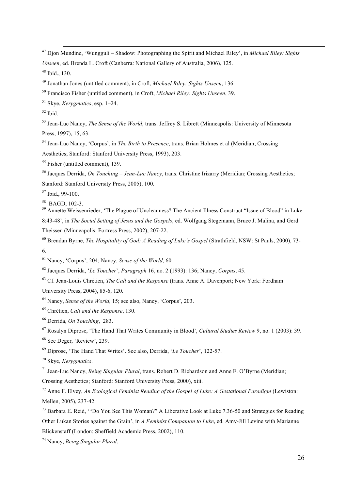Djon Mundine, 'Wungguli – Shadow: Photographing the Spirit and Michael Riley', in *Michael Riley: Sights Unseen*, ed. Brenda L. Croft (Canberra: National Gallery of Australia, 2006), 125.

<u> 1989 - Andrea Santa Andrea Andrea Andrea Andrea Andrea Andrea Andrea Andrea Andrea Andrea Andrea Andrea Andr</u>

Ibid., 130.

Jonathan Jones (untitled comment), in Croft, *Michael Riley: Sights Unseen*, 136.

Francisco Fisher (untitled comment), in Croft, *Michael Riley: Sights Unseen*, 39.

Skye, *Kerygmatics*, esp. 1–24.

Ibid.

 Jean-Luc Nancy, *The Sense of the World*, trans. Jeffrey S. Librett (Minneapolis: University of Minnesota Press, 1997), 15, 63.

 Jean-Luc Nancy, 'Corpus', in *The Birth to Presence*, trans. Brian Holmes et al (Meridian; Crossing Aesthetics; Stanford: Stanford University Press, 1993), 203.

<sup>55</sup> Fisher (untitled comment), 139.

 Jacques Derrida, *On Touching – Jean-Luc Nancy*, trans. Christine Irizarry (Meridian; Crossing Aesthetics; Stanford: Stanford University Press, 2005), 100.

Ibid., 99-100.

<sup>58</sup> BAGD, 102-3.<br><sup>59</sup> Annette Weissenrieder, 'The Plague of Uncleanness? The Ancient Illness Construct "Issue of Blood" in Luke 8:43-48', in *The Social Setting of Jesus and the Gospels*, ed. Wolfgang Stegemann, Bruce J. Malina, and Gerd Theissen (Minneapolis: Fortress Press, 2002), 207-22.

 Brendan Byrne, *The Hospitality of God: A Reading of Luke's Gospel* (Strathfield, NSW: St Pauls, 2000), 73- 6.

Nancy, 'Corpus', 204; Nancy, *Sense of the World*, 60.

Jacques Derrida, '*Le Toucher*', *Paragraph* 16, no. 2 (1993): 136; Nancy, *Corpus*, 45.

 Cf. Jean-Louis Chrétien, *The Call and the Response* (trans. Anne A. Davenport; New York: Fordham University Press, 2004), 85-6, 120.

Nancy, *Sense of the World*, 15; see also, Nancy, 'Corpus', 203.

Chrétien, *Call and the Response*, 130.

Derrida, *On Touching*, 283.

Rosalyn Diprose, 'The Hand That Writes Community in Blood', *Cultural Studies Review* 9, no. 1 (2003): 39.

See Deger, 'Review', 239.

Diprose, 'The Hand That Writes'. See also, Derrida, '*Le Toucher*', 122-57.

Skye, *Kerygmatics*.

Jean-Luc Nancy, *Being Singular Plural*, trans. Robert D. Richardson and Anne E. O'Byrne (Meridian;

Crossing Aesthetics; Stanford: Stanford University Press, 2000), xiii.

 Anne F. Elvey, *An Ecological Feminist Reading of the Gospel of Luke: A Gestational Paradigm* (Lewiston: Mellen, 2005), 237-42.

 Barbara E. Reid, '"Do You See This Woman?" A Liberative Look at Luke 7.36-50 and Strategies for Reading Other Lukan Stories against the Grain', in *A Feminist Companion to Luke*, ed. Amy-Jill Levine with Marianne Blickenstaff (London: Sheffield Academic Press, 2002), 110.

Nancy, *Being Singular Plural*.